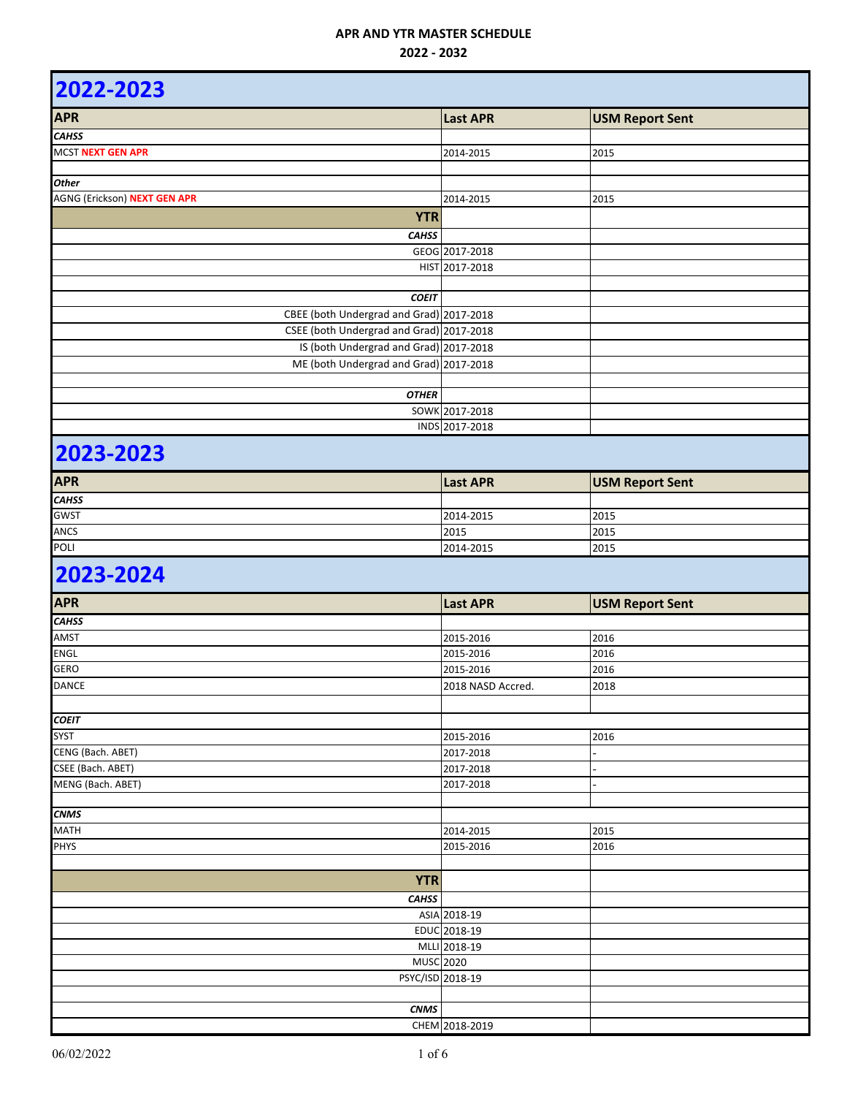| 2022-2023                                                                          |                   |                        |
|------------------------------------------------------------------------------------|-------------------|------------------------|
| <b>APR</b>                                                                         | <b>Last APR</b>   | <b>USM Report Sent</b> |
| <b>CAHSS</b>                                                                       |                   |                        |
| MCST NEXT GEN APR                                                                  | 2014-2015         | 2015                   |
|                                                                                    |                   |                        |
| <b>Other</b>                                                                       |                   |                        |
| AGNG (Erickson) NEXT GEN APR                                                       | 2014-2015         | 2015                   |
| <b>YTR</b>                                                                         |                   |                        |
| <b>CAHSS</b>                                                                       |                   |                        |
|                                                                                    | GEOG 2017-2018    |                        |
|                                                                                    | HIST 2017-2018    |                        |
|                                                                                    |                   |                        |
| <b>COEIT</b>                                                                       |                   |                        |
| CBEE (both Undergrad and Grad) 2017-2018                                           |                   |                        |
| CSEE (both Undergrad and Grad) 2017-2018<br>IS (both Undergrad and Grad) 2017-2018 |                   |                        |
| ME (both Undergrad and Grad) 2017-2018                                             |                   |                        |
|                                                                                    |                   |                        |
| <b>OTHER</b>                                                                       |                   |                        |
|                                                                                    | SOWK 2017-2018    |                        |
|                                                                                    | INDS 2017-2018    |                        |
| 2023-2023                                                                          |                   |                        |
| <b>APR</b>                                                                         | <b>Last APR</b>   | <b>USM Report Sent</b> |
| <b>CAHSS</b>                                                                       |                   |                        |
| <b>GWST</b>                                                                        | 2014-2015         | 2015                   |
| ANCS                                                                               | 2015              | 2015                   |
| POLI                                                                               | 2014-2015         | 2015                   |
| 2023-2024                                                                          |                   |                        |
| <b>APR</b>                                                                         | <b>Last APR</b>   | <b>USM Report Sent</b> |
| <b>CAHSS</b>                                                                       |                   |                        |
| AMST                                                                               | 2015-2016         | 2016                   |
| ENGL                                                                               | 2015-2016         | 2016                   |
| <b>GERO</b>                                                                        | 2015-2016         | 2016                   |
| <b>DANCE</b>                                                                       | 2018 NASD Accred. | 2018                   |
|                                                                                    |                   |                        |
| <b>COEIT</b>                                                                       |                   |                        |
| <b>SYST</b>                                                                        | 2015-2016         | 2016                   |
| CENG (Bach. ABET)                                                                  | 2017-2018         |                        |
| CSEE (Bach. ABET)                                                                  | 2017-2018         |                        |
| MENG (Bach. ABET)                                                                  | 2017-2018         |                        |
| <b>CNMS</b>                                                                        |                   |                        |
| <b>MATH</b>                                                                        | 2014-2015         | 2015                   |
| <b>PHYS</b>                                                                        | 2015-2016         | 2016                   |
|                                                                                    |                   |                        |
| <b>YTR</b>                                                                         |                   |                        |
| <b>CAHSS</b>                                                                       |                   |                        |
|                                                                                    | ASIA 2018-19      |                        |
|                                                                                    | EDUC 2018-19      |                        |
|                                                                                    | MLLI 2018-19      |                        |
|                                                                                    | <b>MUSC 2020</b>  |                        |
|                                                                                    | PSYC/ISD 2018-19  |                        |
|                                                                                    |                   |                        |
| <b>CNMS</b>                                                                        |                   |                        |
|                                                                                    | CHEM 2018-2019    |                        |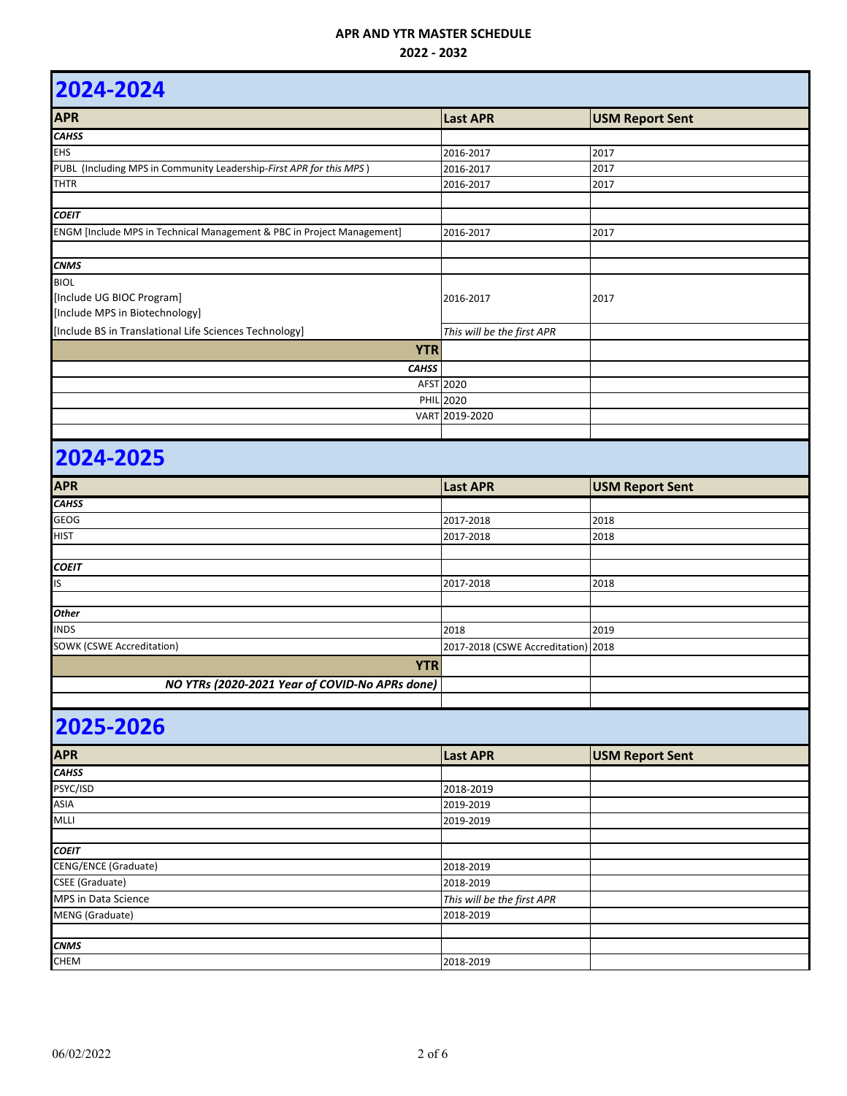### **2022 - 2032**

| 2024-2024                                                                  |                                     |                        |  |
|----------------------------------------------------------------------------|-------------------------------------|------------------------|--|
| <b>APR</b>                                                                 | <b>Last APR</b>                     | <b>USM Report Sent</b> |  |
| <b>CAHSS</b>                                                               |                                     |                        |  |
| <b>EHS</b>                                                                 | 2016-2017                           | 2017                   |  |
| PUBL (Including MPS in Community Leadership-First APR for this MPS)        | 2016-2017                           | 2017                   |  |
| THTR                                                                       | 2016-2017                           | 2017                   |  |
| <b>COEIT</b>                                                               |                                     |                        |  |
| ENGM [Include MPS in Technical Management & PBC in Project Management]     | 2016-2017                           | 2017                   |  |
| <b>CNMS</b>                                                                |                                     |                        |  |
| <b>BIOL</b><br>[Include UG BIOC Program]<br>[Include MPS in Biotechnology] | 2016-2017                           | 2017                   |  |
| [Include BS in Translational Life Sciences Technology]                     | This will be the first APR          |                        |  |
| <b>YTR</b>                                                                 |                                     |                        |  |
| <b>CAHSS</b>                                                               |                                     |                        |  |
|                                                                            | AFST 2020                           |                        |  |
|                                                                            | <b>PHIL 2020</b>                    |                        |  |
|                                                                            | VART 2019-2020                      |                        |  |
|                                                                            |                                     |                        |  |
| 2024-2025                                                                  |                                     |                        |  |
| <b>APR</b>                                                                 | <b>Last APR</b>                     | <b>USM Report Sent</b> |  |
| <b>CAHSS</b>                                                               |                                     |                        |  |
| <b>GEOG</b>                                                                | 2017-2018                           | 2018                   |  |
| <b>HIST</b>                                                                | 2017-2018                           | 2018                   |  |
|                                                                            |                                     |                        |  |
| <b>COEIT</b>                                                               |                                     |                        |  |
| IS                                                                         | 2017-2018                           | 2018                   |  |
|                                                                            |                                     |                        |  |
| <b>Other</b>                                                               |                                     |                        |  |
| <b>INDS</b>                                                                | 2018                                | 2019                   |  |
| <b>SOWK (CSWE Accreditation)</b>                                           | 2017-2018 (CSWE Accreditation) 2018 |                        |  |
| <b>YTR</b>                                                                 |                                     |                        |  |
| NO YTRs (2020-2021 Year of COVID-No APRs done)                             |                                     |                        |  |

| <b>APR</b>                  | <b>Last APR</b>            | <b>USM Report Sent</b> |
|-----------------------------|----------------------------|------------------------|
| <b>CAHSS</b>                |                            |                        |
| PSYC/ISD                    | 2018-2019                  |                        |
| <b>ASIA</b>                 | 2019-2019                  |                        |
| <b>MLLI</b>                 | 2019-2019                  |                        |
|                             |                            |                        |
| <b>COEIT</b>                |                            |                        |
| <b>CENG/ENCE (Graduate)</b> | 2018-2019                  |                        |
| <b>CSEE</b> (Graduate)      | 2018-2019                  |                        |
| MPS in Data Science         | This will be the first APR |                        |
| MENG (Graduate)             | 2018-2019                  |                        |
|                             |                            |                        |
| <b>CNMS</b>                 |                            |                        |
| <b>CHEM</b>                 | 2018-2019                  |                        |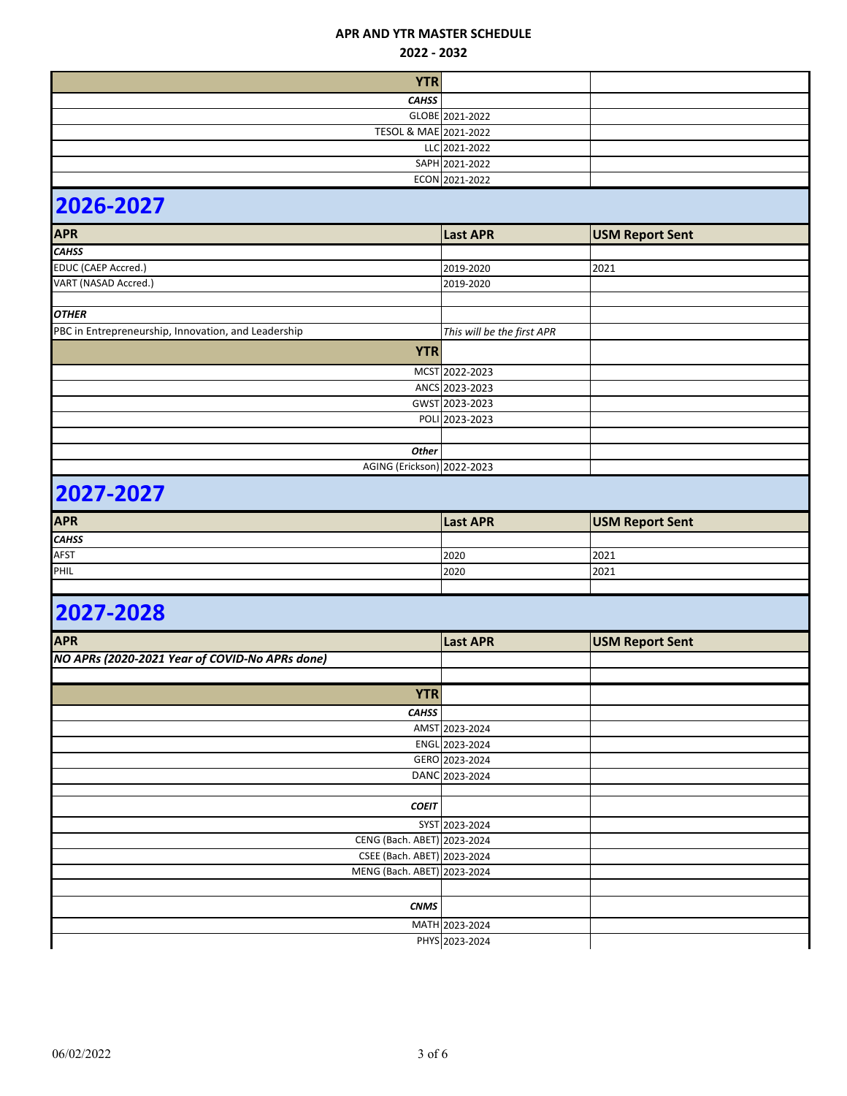#### **2022 - 2032**

| <b>YTR</b>            |                 |  |
|-----------------------|-----------------|--|
| <b>CAHSS</b>          |                 |  |
|                       | GLOBE 2021-2022 |  |
| TESOL & MAE 2021-2022 |                 |  |
|                       | LLC 2021-2022   |  |
|                       | SAPH 2021-2022  |  |
|                       | ECON 2021-2022  |  |
| RAAC AAAS             |                 |  |

# **2026-2027**

| <b>APR</b>                                          | <b>Last APR</b>            | <b>USM Report Sent</b> |  |
|-----------------------------------------------------|----------------------------|------------------------|--|
| <b>CAHSS</b>                                        |                            |                        |  |
| <b>EDUC (CAEP Accred.)</b>                          | 2019-2020                  | 2021                   |  |
| VART (NASAD Accred.)                                | 2019-2020                  |                        |  |
|                                                     |                            |                        |  |
| <b>OTHER</b>                                        |                            |                        |  |
| PBC in Entrepreneurship, Innovation, and Leadership | This will be the first APR |                        |  |
| <b>YTR</b>                                          |                            |                        |  |
|                                                     | MCST 2022-2023             |                        |  |
|                                                     | ANCS 2023-2023             |                        |  |
|                                                     | GWST 2023-2023             |                        |  |
|                                                     | POLI 2023-2023             |                        |  |
|                                                     |                            |                        |  |
| <b>Other</b>                                        |                            |                        |  |
| AGING (Erickson) 2022-2023                          |                            |                        |  |

# **2027-2027**

| <b>APR</b>   | <b>Last APR</b> | <b>USM Report Sent</b> |
|--------------|-----------------|------------------------|
| <b>CAHSS</b> |                 |                        |
| <b>AFST</b>  | 2020            | 2021                   |
| PHIL         | 2020            | 2021                   |
|              |                 |                        |

| <b>APR</b>                                     | <b>Last APR</b> | <b>USM Report Sent</b> |
|------------------------------------------------|-----------------|------------------------|
| NO APRs (2020-2021 Year of COVID-No APRs done) |                 |                        |
|                                                |                 |                        |
| <b>YTR</b>                                     |                 |                        |
| <b>CAHSS</b>                                   |                 |                        |
|                                                | AMST 2023-2024  |                        |
|                                                | ENGL 2023-2024  |                        |
|                                                | GERO 2023-2024  |                        |
|                                                | DANC 2023-2024  |                        |
|                                                |                 |                        |
| <b>COEIT</b>                                   |                 |                        |
|                                                | SYST 2023-2024  |                        |
| CENG (Bach. ABET) 2023-2024                    |                 |                        |
| CSEE (Bach. ABET) 2023-2024                    |                 |                        |
| MENG (Bach. ABET) 2023-2024                    |                 |                        |
|                                                |                 |                        |
| <b>CNMS</b>                                    |                 |                        |
|                                                | MATH 2023-2024  |                        |
|                                                | PHYS 2023-2024  |                        |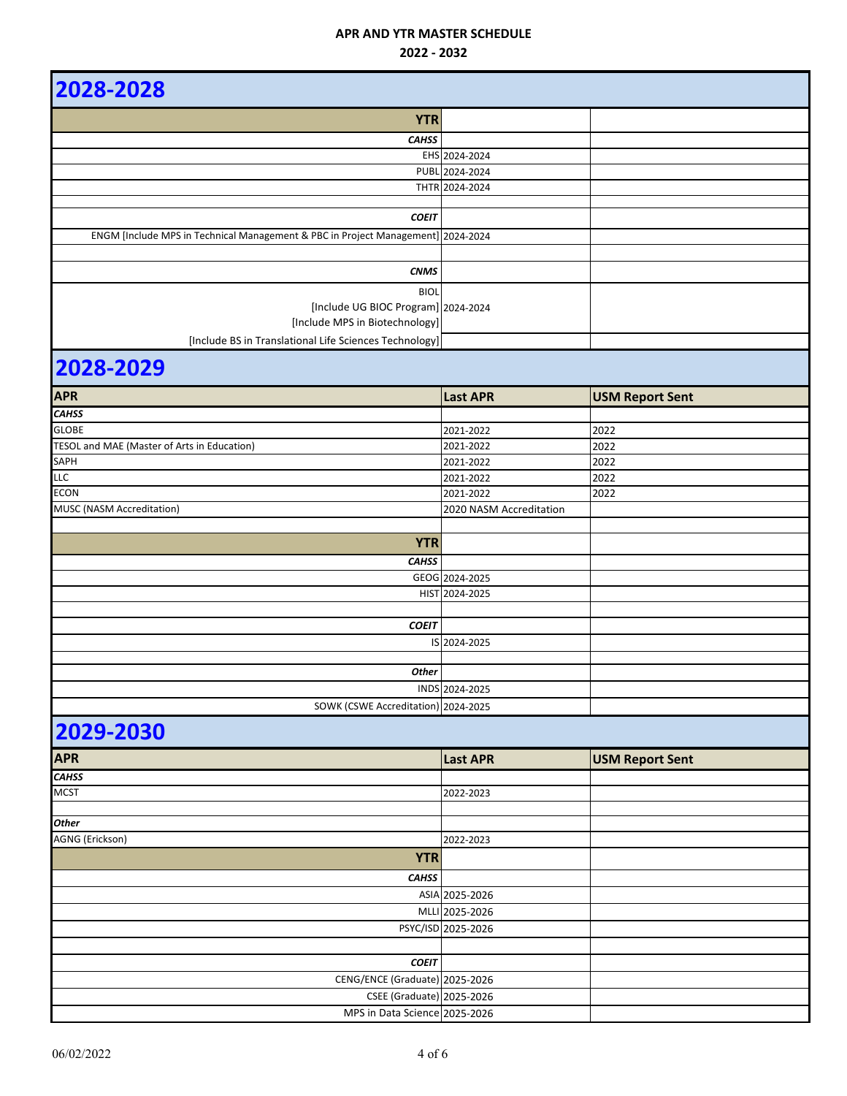| 2028-2028                                                                        |                         |                        |
|----------------------------------------------------------------------------------|-------------------------|------------------------|
| <b>YTR</b>                                                                       |                         |                        |
| <b>CAHSS</b>                                                                     |                         |                        |
|                                                                                  | EHS 2024-2024           |                        |
|                                                                                  | PUBL 2024-2024          |                        |
|                                                                                  | THTR 2024-2024          |                        |
|                                                                                  |                         |                        |
| <b>COEIT</b>                                                                     |                         |                        |
| ENGM [Include MPS in Technical Management & PBC in Project Management] 2024-2024 |                         |                        |
|                                                                                  |                         |                        |
| <b>CNMS</b>                                                                      |                         |                        |
|                                                                                  |                         |                        |
| <b>BIOL</b>                                                                      |                         |                        |
| [Include UG BIOC Program] 2024-2024                                              |                         |                        |
| [Include MPS in Biotechnology]                                                   |                         |                        |
| [Include BS in Translational Life Sciences Technology]                           |                         |                        |
| 2028-2029                                                                        |                         |                        |
| <b>APR</b>                                                                       | <b>Last APR</b>         | <b>USM Report Sent</b> |
| <b>CAHSS</b>                                                                     |                         |                        |
| <b>GLOBE</b>                                                                     | 2021-2022               | 2022                   |
| TESOL and MAE (Master of Arts in Education)                                      | 2021-2022               | 2022                   |
| SAPH                                                                             | 2021-2022               | 2022                   |
| <b>LLC</b>                                                                       | 2021-2022               | 2022                   |
| <b>ECON</b>                                                                      | 2021-2022               | 2022                   |
| MUSC (NASM Accreditation)                                                        | 2020 NASM Accreditation |                        |
|                                                                                  |                         |                        |
| <b>YTR</b>                                                                       |                         |                        |
| <b>CAHSS</b>                                                                     |                         |                        |
|                                                                                  | GEOG 2024-2025          |                        |
|                                                                                  | HIST 2024-2025          |                        |
|                                                                                  |                         |                        |
| <b>COEIT</b>                                                                     |                         |                        |
|                                                                                  | IS 2024-2025            |                        |
|                                                                                  |                         |                        |
| <b>Other</b>                                                                     |                         |                        |
|                                                                                  | INDS 2024-2025          |                        |
| SOWK (CSWE Accreditation) 2024-2025                                              |                         |                        |
| 2029-2030                                                                        |                         |                        |
|                                                                                  |                         |                        |
| <b>APR</b>                                                                       | <b>Last APR</b>         | <b>USM Report Sent</b> |
| <b>CAHSS</b>                                                                     |                         |                        |
| <b>MCST</b>                                                                      | 2022-2023               |                        |
|                                                                                  |                         |                        |
| <b>Other</b>                                                                     |                         |                        |
| AGNG (Erickson)                                                                  | 2022-2023               |                        |
| <b>YTR</b>                                                                       |                         |                        |
| <b>CAHSS</b>                                                                     |                         |                        |
|                                                                                  | ASIA 2025-2026          |                        |
|                                                                                  |                         |                        |
|                                                                                  | MLLI 2025-2026          |                        |
|                                                                                  | PSYC/ISD 2025-2026      |                        |
|                                                                                  |                         |                        |
| <b>COEIT</b>                                                                     |                         |                        |
| CENG/ENCE (Graduate) 2025-2026                                                   |                         |                        |
| <b>CSEE</b> (Graduate) 2025-2026                                                 |                         |                        |
| MPS in Data Science 2025-2026                                                    |                         |                        |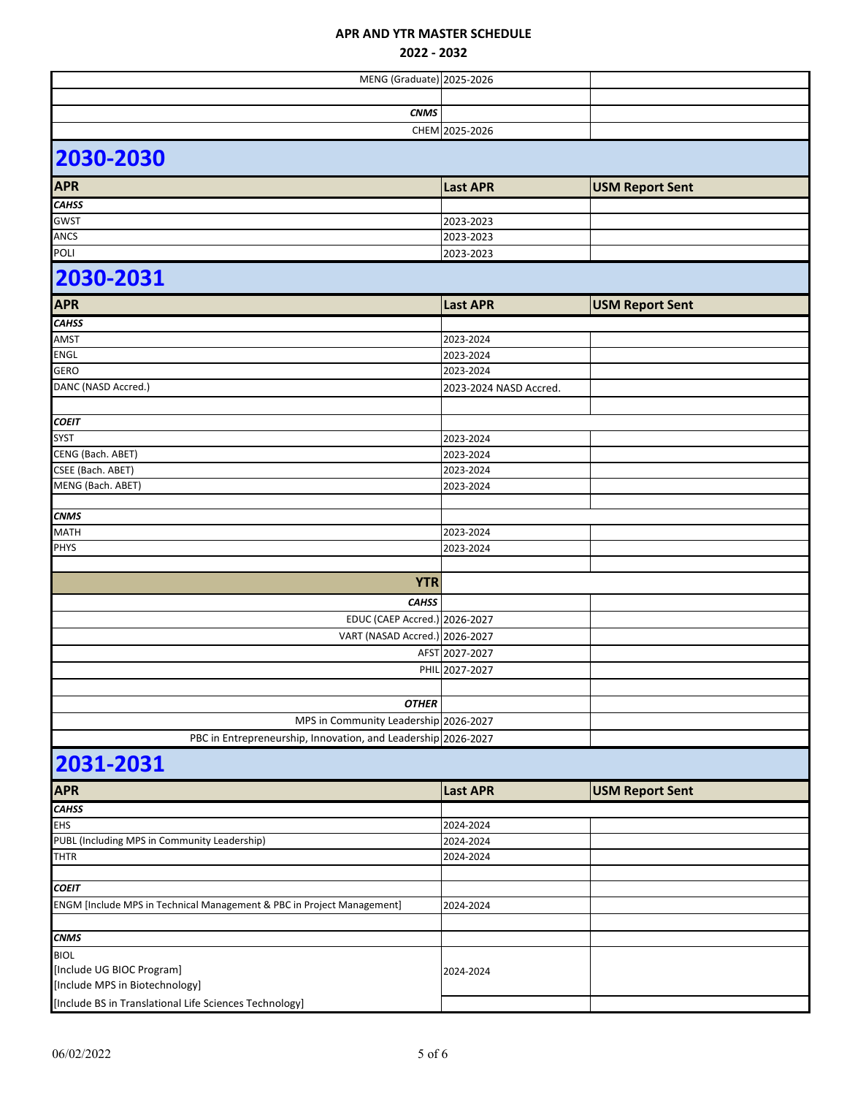| <b>MENG</b> (Graduate) 2025-2026                                       |                        |                        |  |
|------------------------------------------------------------------------|------------------------|------------------------|--|
|                                                                        |                        |                        |  |
| <b>CNMS</b>                                                            |                        |                        |  |
|                                                                        | CHEM 2025-2026         |                        |  |
| 2030-2030                                                              |                        |                        |  |
| <b>APR</b>                                                             | <b>Last APR</b>        | <b>USM Report Sent</b> |  |
| <b>CAHSS</b>                                                           |                        |                        |  |
| <b>GWST</b>                                                            | 2023-2023              |                        |  |
| <b>ANCS</b>                                                            | 2023-2023              |                        |  |
| <b>POLI</b>                                                            | 2023-2023              |                        |  |
| 2030-2031                                                              |                        |                        |  |
| <b>APR</b>                                                             | <b>Last APR</b>        | <b>USM Report Sent</b> |  |
| <b>CAHSS</b>                                                           |                        |                        |  |
| AMST                                                                   | 2023-2024              |                        |  |
| <b>ENGL</b>                                                            | 2023-2024              |                        |  |
| <b>GERO</b>                                                            | 2023-2024              |                        |  |
| DANC (NASD Accred.)                                                    | 2023-2024 NASD Accred. |                        |  |
|                                                                        |                        |                        |  |
| <b>COEIT</b>                                                           |                        |                        |  |
| <b>SYST</b>                                                            | 2023-2024              |                        |  |
| CENG (Bach. ABET)                                                      | 2023-2024              |                        |  |
| CSEE (Bach. ABET)                                                      | 2023-2024              |                        |  |
| MENG (Bach. ABET)                                                      | 2023-2024              |                        |  |
|                                                                        |                        |                        |  |
| <b>CNMS</b>                                                            |                        |                        |  |
| <b>MATH</b>                                                            | 2023-2024              |                        |  |
| <b>PHYS</b>                                                            | 2023-2024              |                        |  |
|                                                                        |                        |                        |  |
| <b>YTR</b>                                                             |                        |                        |  |
| <b>CAHSS</b>                                                           |                        |                        |  |
| EDUC (CAEP Accred.) 2026-2027                                          |                        |                        |  |
| VART (NASAD Accred.) 2026-2027                                         |                        |                        |  |
|                                                                        | AFST 2027-2027         |                        |  |
|                                                                        | PHIL 2027-2027         |                        |  |
|                                                                        |                        |                        |  |
| <b>OTHER</b>                                                           |                        |                        |  |
| MPS in Community Leadership 2026-2027                                  |                        |                        |  |
| PBC in Entrepreneurship, Innovation, and Leadership 2026-2027          |                        |                        |  |
|                                                                        |                        |                        |  |
| 2031-2031                                                              |                        |                        |  |
| <b>APR</b>                                                             | <b>Last APR</b>        | <b>USM Report Sent</b> |  |
| <b>CAHSS</b>                                                           |                        |                        |  |
| <b>EHS</b>                                                             | 2024-2024              |                        |  |
| PUBL (Including MPS in Community Leadership)                           | 2024-2024              |                        |  |
| <b>THTR</b>                                                            | 2024-2024              |                        |  |
|                                                                        |                        |                        |  |
| <b>COEIT</b>                                                           |                        |                        |  |
| ENGM [Include MPS in Technical Management & PBC in Project Management] | 2024-2024              |                        |  |
|                                                                        |                        |                        |  |
| <b>CNMS</b>                                                            |                        |                        |  |
| <b>BIOL</b>                                                            |                        |                        |  |
| [Include UG BIOC Program]                                              | 2024-2024              |                        |  |
| [Include MPS in Biotechnology]                                         |                        |                        |  |
| [Include BS in Translational Life Sciences Technology]                 |                        |                        |  |